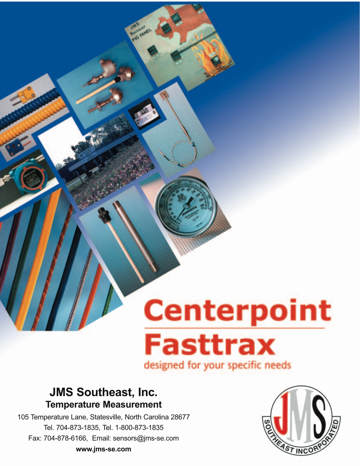# **Centerpoint Fasttrax** designed for your specific needs

## **JMS Southeast, Inc. Temperature Measurement**

105 Temperature Lane, Statesville, North Carolina 28677 Tel. 704-873-1835, Tel. 1-800-873-1835 Fax: 704-878-6166, Email: sensors@jms-se.com **www.jms-se.com**

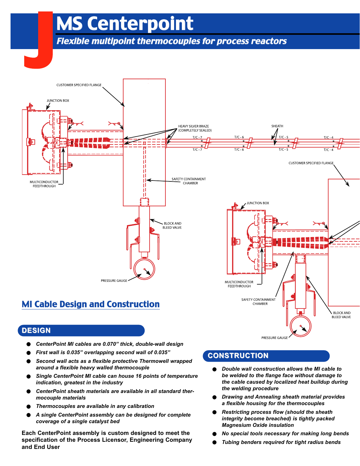## MS Centerpoint

Flexible multipoint thermocouples for process reactors



## **DESIGN**

- *• CenterPoint MI cables are 0.070" thick, double-wall design*
- *• First wall is 0.035" overlapping second wall of 0.035"*
- *• Second wall acts as a flexible protective Thermowell wrapped around a flexible heavy walled thermocouple*
- *• Single CenterPoint MI cable can house 16 points of temperature indication, greatest in the industry*
- *• CenterPoint sheath materials are available in all standard thermocouple materials*
- *• Thermocouples are available in any calibration*
- *• A single CenterPoint assembly can be designed for complete coverage of a single catalyst bed*

**Each CenterPoint assembly is custom designed to meet the specification of the Process Licensor, Engineering Company and End User**

## **CONSTRUCTION**

*• Double wall construction allows the MI cable to be welded to the flange face without damage to the cable caused by localized heat buildup during the welding procedure*

PRESSURE GAUGE

**BLEED VALVE** 

- *• Drawing and Annealing sheath material provides a flexible housing for the thermocouples*
- *• Restricting process flow (should the sheath integrity become breached) is tightly packed Magnesium Oxide insulation*
- *• No special tools necessary for making long bends*
- *• Tubing benders required for tight radius bends*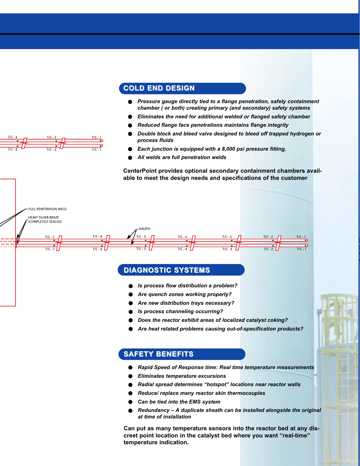#### **COLD END DESIGN**

- *• Pressure gauge directly tied to a flange penetration, safety containment chamber ( or both) creating primary (and secondary) safety systems*
- *• Eliminates the need for additional welded or flanged safety chamber*
- *• Reduced flange face penetrations maintains flange integrity*
- *• Double block and bleed valve designed to bleed off trapped hydrogen or process fluids*
- *• Each junction is equipped with a 8,000 psi pressure fitting,*
- *• All welds are full penetration welds*

**CenterPoint provides optional secondary containment chambers available to meet the design needs and specifications of the customer**



#### **DIAGNOSTIC SYSTEMS**

- *• Is process flow distribution a problem?*
- *• Are quench zones working properly?*
- *• Are new distribution trays necessary?*
- *• Is process channeling occurring?*
- *• Does the reactor exhibit areas of localized catalyst coking?*
- *• Are heat related problems causing out-of-specification products?*

#### **SAFETY BENEFITS**

- *• Rapid Speed of Response time: Real time temperature measurements*
- *• Eliminates temperature excursions*
- *• Radial spread determines "hotspot" locations near reactor walls*
- *• Reduce/ replace many reactor skin thermocouples*
- *• Can be tied into the EMS system*
- *• Redundancy A duplicate sheath can be installed alongside the original at time of installation*

**Can put as many temperature sensors into the reactor bed at any discreet point location in the catalyst bed where you want "real-time" temperature indication.**

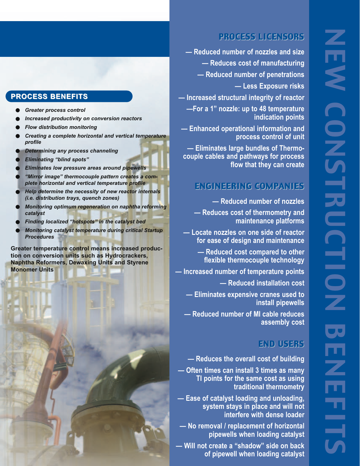## PROCESS LICENSORS

**— Reduced number of nozzles and size — Reduces cost of manufacturing — Reduced number of penetrations — Less Exposure risks**

**— Increased structural integrity of reactor**

**—For a 1" nozzle: up to 48 temperature indication points**

**— Enhanced operational information and process control of unit** 

**— Eliminates large bundles of Thermocouple cables and pathways for process flow that they can create**

## ENGINEERING COMPANIES

**— Reduced number of nozzles**

**— Reduces cost of thermometry and maintenance platforms**

**— Locate nozzles on one side of reactor for ease of design and maintenance**

> **— Reduced cost compared to other flexible thermocouple technology**

**— Increased number of temperature points**

**— Reduced installation cost**

**— Eliminates expensive cranes used to install pipewells**

**— Reduced number of MI cable reduces assembly cost**

## END USERS

**— Reduces the overall cost of building**

**— Often times can install 3 times as many TI points for the same cost as using traditional thermometry**

**— Ease of catalyst loading and unloading, system stays in place and will not interfere with dense loader**

**— No removal / replacement of horizontal pipewells when loading catalyst**

**— Will not create a "shadow" side on back of pipewell when loading catalyst**

## **PROCESS BENEFITS**

- *• Greater process control*
- *• Increased productivity on conversion reactors*
- *• Flow distribution monitoring*
- *• Creating a complete horizontal and vertical temperature profile*
- *• Determining any process channeling*
- *• Eliminating "blind spots"*
- *• Eliminates low pressure areas around pipewells*
- *• "Mirror image" thermocouple pattern creates a complete horizontal and vertical temperature profile*
- *• Help determine the necessity of new reactor internals (i.e. distribution trays, quench zones)*
- *• Monitoring optimum regeneration on naphtha reforming catalyst*
- *• Finding localized "hotspots" in the catalyst bed*
- *• Monitoring catalyst temperature during critical Startup Procedures*

**Greater temperature control means increased production on conversion units such as Hydrocrackers, Naphtha Reformers, Dewaxing Units and Styrene Monomer Units**

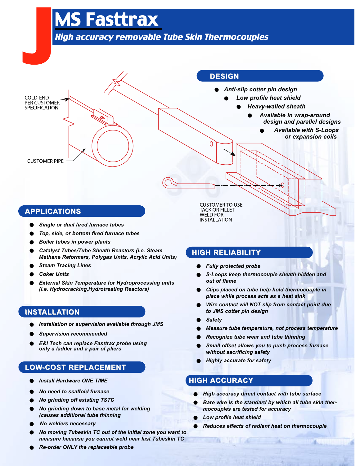## MS Fasttrax

## High accuracy removable Tube Skin Thermocouples

## J J **DESIGN** *• Anti-slip cotter pin design* COLD-END *• Low profile heat shield* PER CUSTOMER *• Heavy-walled sheath* SPECIFICATION *• Available in wrap-around design and parallel designs • Available with S-Loops or expansion coils* Ω **CUSTOMER PIPE**

### **APPLICATIONS**

- *• Single or dual fired furnace tubes*
- *• Top, side, or bottom fired furnace tubes*
- *• Boiler tubes in power plants*
- *• Catalyst Tubes/Tube Sheath Reactors (i.e. Steam Methane Reformers, Polygas Units, Acrylic Acid Units)*
- *• Steam Tracing Lines*
- *• Coker Units*
- *• External Skin Temperature for Hydroprocessing units (i.e. Hydrocracking,Hydrotreating Reactors)*

## **INSTALLATION**

- *• Installation or supervision available through JMS*
- *• Supervision recommended*
- *• E&I Tech can replace Fasttrax probe using only a ladder and a pair of pliers*

## **LOW-COST REPLACEMENT -COST REPLACEMENT**

- *• Install Hardware ONE TIME*
- *• No need to scaffold furnace*
- *• No grinding off existing TSTC*
- *• No grinding down to base metal for welding (causes additional tube thinning*
- *• No welders necessary*
- *• No moving Tubeskin TC out of the initial zone you want to measure because you cannot weld near last Tubeskin TC*

**CUSTOMER TO USE TACK OR FILLET WELD FOR INSTALLATION** 

## **HIGH RELIABILITY**

- *• Fully protected probe*
- *• S-Loops keep thermocouple sheath hidden and out of flame*
- *• Clips placed on tube help hold thermocouple in place while process acts as a heat sink*
- *• Wire contact will NOT slip from contact point due to JMS cotter pin design*
- *• Safety*
- *• Measure tube temperature, not process temperature*
- *• Recognize tube wear and tube thinning*
- *• Small offset allows you to push process furnace without sacrificing safety*
- *• Highly accurate for safety*

### **HIGH ACCURACY**

- *• High accuracy direct contact with tube surface*
- *• Bare wire is the standard by which all tube skin thermocouples are tested for accuracy*
- *• Low profile heat shield*
- *• Reduces effects of radiant heat on thermocouple*

*• Re-order ONLY the replaceable probe*